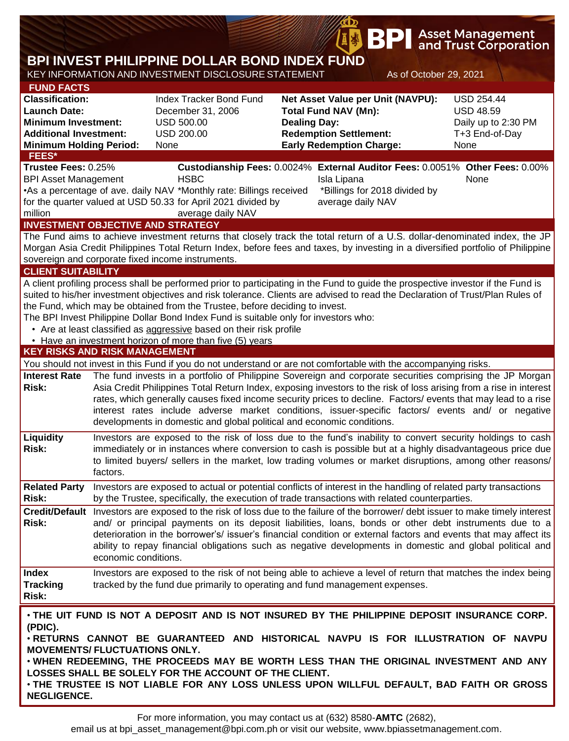|                                                                                                                                                                     |                                                                                                                                                                                                                                                                                                                                                                                                                                                                                                                                                                                                                                                      |                                                                                                                                                                                                                                                                                                                                                                                                                                                                                                                                                                                |                                                                                                                                                             | <b>BPI</b>                                                        |  | <b>Asset Management</b><br>and Trust Corporation                                       |  |  |  |  |  |
|---------------------------------------------------------------------------------------------------------------------------------------------------------------------|------------------------------------------------------------------------------------------------------------------------------------------------------------------------------------------------------------------------------------------------------------------------------------------------------------------------------------------------------------------------------------------------------------------------------------------------------------------------------------------------------------------------------------------------------------------------------------------------------------------------------------------------------|--------------------------------------------------------------------------------------------------------------------------------------------------------------------------------------------------------------------------------------------------------------------------------------------------------------------------------------------------------------------------------------------------------------------------------------------------------------------------------------------------------------------------------------------------------------------------------|-------------------------------------------------------------------------------------------------------------------------------------------------------------|-------------------------------------------------------------------|--|----------------------------------------------------------------------------------------|--|--|--|--|--|
| BPI INVEST PHILIPPINE DOLLAR BOND INDEX FUND<br>KEY INFORMATION AND INVESTMENT DISCLOSURE STATEMENT<br>As of October 29, 2021                                       |                                                                                                                                                                                                                                                                                                                                                                                                                                                                                                                                                                                                                                                      |                                                                                                                                                                                                                                                                                                                                                                                                                                                                                                                                                                                |                                                                                                                                                             |                                                                   |  |                                                                                        |  |  |  |  |  |
|                                                                                                                                                                     |                                                                                                                                                                                                                                                                                                                                                                                                                                                                                                                                                                                                                                                      |                                                                                                                                                                                                                                                                                                                                                                                                                                                                                                                                                                                |                                                                                                                                                             |                                                                   |  |                                                                                        |  |  |  |  |  |
| <b>FUND FACTS</b><br><b>Classification:</b><br><b>Launch Date:</b><br><b>Minimum Investment:</b><br><b>Additional Investment:</b><br><b>Minimum Holding Period:</b> |                                                                                                                                                                                                                                                                                                                                                                                                                                                                                                                                                                                                                                                      | <b>Index Tracker Bond Fund</b><br>December 31, 2006<br><b>USD 500.00</b><br><b>USD 200.00</b><br>None                                                                                                                                                                                                                                                                                                                                                                                                                                                                          | Net Asset Value per Unit (NAVPU):<br><b>Total Fund NAV (Mn):</b><br><b>Dealing Day:</b><br><b>Redemption Settlement:</b><br><b>Early Redemption Charge:</b> |                                                                   |  | <b>USD 254.44</b><br><b>USD 48.59</b><br>Daily up to 2:30 PM<br>T+3 End-of-Day<br>None |  |  |  |  |  |
| FEES*                                                                                                                                                               |                                                                                                                                                                                                                                                                                                                                                                                                                                                                                                                                                                                                                                                      |                                                                                                                                                                                                                                                                                                                                                                                                                                                                                                                                                                                |                                                                                                                                                             |                                                                   |  |                                                                                        |  |  |  |  |  |
| Trustee Fees: 0.25%<br><b>BPI Asset Management</b><br>million<br><b>INVESTMENT OBJECTIVE AND STRATEGY</b>                                                           |                                                                                                                                                                                                                                                                                                                                                                                                                                                                                                                                                                                                                                                      | Custodianship Fees: 0.0024% External Auditor Fees: 0.0051% Other Fees: 0.00%<br><b>HSBC</b><br>•As a percentage of ave. daily NAV *Monthly rate: Billings received<br>for the quarter valued at USD 50.33 for April 2021 divided by<br>average daily NAV                                                                                                                                                                                                                                                                                                                       |                                                                                                                                                             | Isla Lipana<br>*Billings for 2018 divided by<br>average daily NAV |  | None                                                                                   |  |  |  |  |  |
|                                                                                                                                                                     |                                                                                                                                                                                                                                                                                                                                                                                                                                                                                                                                                                                                                                                      | The Fund aims to achieve investment returns that closely track the total return of a U.S. dollar-denominated index, the JP                                                                                                                                                                                                                                                                                                                                                                                                                                                     |                                                                                                                                                             |                                                                   |  |                                                                                        |  |  |  |  |  |
|                                                                                                                                                                     |                                                                                                                                                                                                                                                                                                                                                                                                                                                                                                                                                                                                                                                      | Morgan Asia Credit Philippines Total Return Index, before fees and taxes, by investing in a diversified portfolio of Philippine<br>sovereign and corporate fixed income instruments.                                                                                                                                                                                                                                                                                                                                                                                           |                                                                                                                                                             |                                                                   |  |                                                                                        |  |  |  |  |  |
| <b>CLIENT SUITABILITY</b>                                                                                                                                           |                                                                                                                                                                                                                                                                                                                                                                                                                                                                                                                                                                                                                                                      |                                                                                                                                                                                                                                                                                                                                                                                                                                                                                                                                                                                |                                                                                                                                                             |                                                                   |  |                                                                                        |  |  |  |  |  |
| <b>KEY RISKS AND RISK MANAGEMENT</b>                                                                                                                                |                                                                                                                                                                                                                                                                                                                                                                                                                                                                                                                                                                                                                                                      | A client profiling process shall be performed prior to participating in the Fund to guide the prospective investor if the Fund is<br>suited to his/her investment objectives and risk tolerance. Clients are advised to read the Declaration of Trust/Plan Rules of<br>the Fund, which may be obtained from the Trustee, before deciding to invest.<br>The BPI Invest Philippine Dollar Bond Index Fund is suitable only for investors who:<br>• Are at least classified as aggressive based on their risk profile<br>• Have an investment horizon of more than five (5) years |                                                                                                                                                             |                                                                   |  |                                                                                        |  |  |  |  |  |
|                                                                                                                                                                     |                                                                                                                                                                                                                                                                                                                                                                                                                                                                                                                                                                                                                                                      |                                                                                                                                                                                                                                                                                                                                                                                                                                                                                                                                                                                |                                                                                                                                                             |                                                                   |  |                                                                                        |  |  |  |  |  |
| <b>Interest Rate</b><br><b>Risk:</b>                                                                                                                                | You should not invest in this Fund if you do not understand or are not comfortable with the accompanying risks.<br>The fund invests in a portfolio of Philippine Sovereign and corporate securities comprising the JP Morgan<br>Asia Credit Philippines Total Return Index, exposing investors to the risk of loss arising from a rise in interest<br>rates, which generally causes fixed income security prices to decline. Factors/ events that may lead to a rise<br>interest rates include adverse market conditions, issuer-specific factors/ events and/ or negative<br>developments in domestic and global political and economic conditions. |                                                                                                                                                                                                                                                                                                                                                                                                                                                                                                                                                                                |                                                                                                                                                             |                                                                   |  |                                                                                        |  |  |  |  |  |
| Liquidity<br>Risk:                                                                                                                                                  | Investors are exposed to the risk of loss due to the fund's inability to convert security holdings to cash<br>immediately or in instances where conversion to cash is possible but at a highly disadvantageous price due<br>to limited buyers/ sellers in the market, low trading volumes or market disruptions, among other reasons/<br>factors.                                                                                                                                                                                                                                                                                                    |                                                                                                                                                                                                                                                                                                                                                                                                                                                                                                                                                                                |                                                                                                                                                             |                                                                   |  |                                                                                        |  |  |  |  |  |
| <b>Related Party</b><br><b>Risk:</b>                                                                                                                                |                                                                                                                                                                                                                                                                                                                                                                                                                                                                                                                                                                                                                                                      | Investors are exposed to actual or potential conflicts of interest in the handling of related party transactions<br>by the Trustee, specifically, the execution of trade transactions with related counterparties.                                                                                                                                                                                                                                                                                                                                                             |                                                                                                                                                             |                                                                   |  |                                                                                        |  |  |  |  |  |
| Risk:                                                                                                                                                               | Credit/Default Investors are exposed to the risk of loss due to the failure of the borrower/debt issuer to make timely interest<br>and/ or principal payments on its deposit liabilities, loans, bonds or other debt instruments due to a<br>deterioration in the borrower's/ issuer's financial condition or external factors and events that may affect its<br>ability to repay financial obligations such as negative developments in domestic and global political and<br>economic conditions.                                                                                                                                                   |                                                                                                                                                                                                                                                                                                                                                                                                                                                                                                                                                                                |                                                                                                                                                             |                                                                   |  |                                                                                        |  |  |  |  |  |
| <b>Index</b><br><b>Tracking</b><br>Risk:                                                                                                                            |                                                                                                                                                                                                                                                                                                                                                                                                                                                                                                                                                                                                                                                      | Investors are exposed to the risk of not being able to achieve a level of return that matches the index being<br>tracked by the fund due primarily to operating and fund management expenses.                                                                                                                                                                                                                                                                                                                                                                                  |                                                                                                                                                             |                                                                   |  |                                                                                        |  |  |  |  |  |
| (PDIC).<br>MOVEMENTS/ FLUCTUATIONS ONLY.<br><b>NEGLIGENCE.</b>                                                                                                      |                                                                                                                                                                                                                                                                                                                                                                                                                                                                                                                                                                                                                                                      | . THE UIT FUND IS NOT A DEPOSIT AND IS NOT INSURED BY THE PHILIPPINE DEPOSIT INSURANCE CORP.<br>. RETURNS CANNOT BE GUARANTEED AND HISTORICAL NAVPU IS FOR ILLUSTRATION OF NAVPU<br>. WHEN REDEEMING, THE PROCEEDS MAY BE WORTH LESS THAN THE ORIGINAL INVESTMENT AND ANY<br>LOSSES SHALL BE SOLELY FOR THE ACCOUNT OF THE CLIENT.<br>. THE TRUSTEE IS NOT LIABLE FOR ANY LOSS UNLESS UPON WILLFUL DEFAULT, BAD FAITH OR GROSS                                                                                                                                                 |                                                                                                                                                             |                                                                   |  |                                                                                        |  |  |  |  |  |

**B**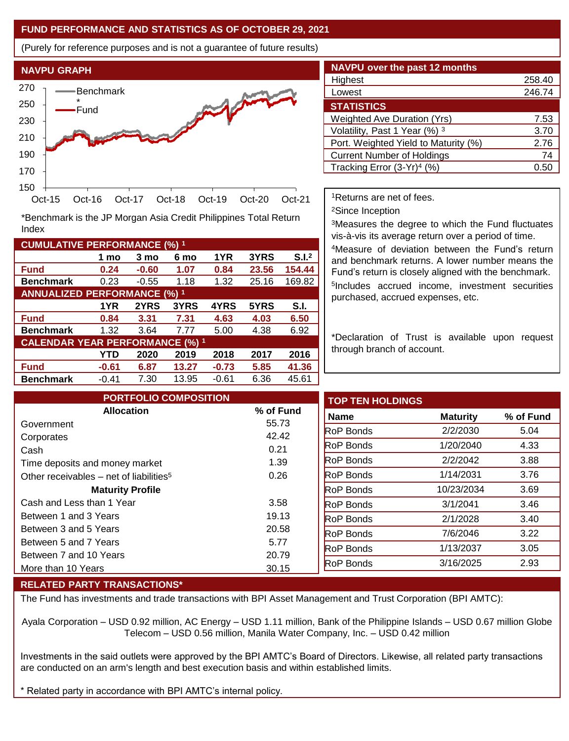## **FUND PERFORMANCE AND STATISTICS AS OF OCTOBER 29, 2021**

(Purely for reference purposes and is not a guarantee of future results)



**Fund 0.24 -0.60 1.07 0.84 23.56 154.44 Benchmark** 0.23 -0.55 1.18 1.32 25.16 169.82

\*Benchmark is the JP Morgan Asia Credit Philippines Total Return

**Fund 0.84 3.31 7.31 4.63 4.03 6.50 Benchmark** 1.32 3.64 7.77 5.00 4.38 6.92

**Fund -0.61 6.87 13.27 -0.73 5.85 41.36 Benchmark** -0.41 7.30 13.95 -0.61 6.36 45.61

**1 mo 3 mo 6 mo 1YR 3YRS S.I.<sup>2</sup>**

**1YR 2YRS 3YRS 4YRS 5YRS S.I.**

**YTD 2020 2019 2018 2017 2016**

| <b>NAVPU over the past 12 months</b>   |        |  |  |  |  |  |  |
|----------------------------------------|--------|--|--|--|--|--|--|
| Highest                                | 258.40 |  |  |  |  |  |  |
| Lowest                                 | 246.74 |  |  |  |  |  |  |
| <b>STATISTICS</b>                      |        |  |  |  |  |  |  |
| <b>Weighted Ave Duration (Yrs)</b>     | 7.53   |  |  |  |  |  |  |
| Volatility, Past 1 Year (%) 3          | 3.70   |  |  |  |  |  |  |
| Port. Weighted Yield to Maturity (%)   | 2.76   |  |  |  |  |  |  |
| <b>Current Number of Holdings</b>      | 74     |  |  |  |  |  |  |
| Tracking Error (3-Yr) <sup>4</sup> (%) | 0.5    |  |  |  |  |  |  |

<sup>1</sup>Returns are net of fees.

<sup>2</sup>Since Inception

<sup>3</sup>Measures the degree to which the Fund fluctuates vis-à-vis its average return over a period of time.

<sup>4</sup>Measure of deviation between the Fund's return and benchmark returns. A lower number means the Fund's return is closely aligned with the benchmark. 5 Includes accrued income, investment securities purchased, accrued expenses, etc.

\*Declaration of Trust is available upon request through branch of account.

| <b>PORTFOLIO COMPOSITION</b>                        |           | <b>TOP TEN HOLDINGS</b> |                 |           |
|-----------------------------------------------------|-----------|-------------------------|-----------------|-----------|
| <b>Allocation</b>                                   | % of Fund | Name                    | <b>Maturity</b> | % of Fund |
| Government                                          | 55.73     | <b>RoP Bonds</b>        | 2/2/2030        |           |
| Corporates                                          | 42.42     | <b>RoP Bonds</b>        | 1/20/2040       |           |
| Cash                                                | 0.21      |                         |                 |           |
| Time deposits and money market                      | 1.39      | <b>RoP Bonds</b>        | 2/2/2042        |           |
| Other receivables – net of liabilities <sup>5</sup> | 0.26      | <b>RoP Bonds</b>        | 1/14/2031       |           |
| <b>Maturity Profile</b>                             |           | <b>RoP Bonds</b>        | 10/23/2034      |           |
| Cash and Less than 1 Year                           | 3.58      | <b>RoP Bonds</b>        | 3/1/2041        |           |
| Between 1 and 3 Years                               | 19.13     | <b>RoP Bonds</b>        | 2/1/2028        |           |
| Between 3 and 5 Years                               | 20.58     | <b>RoP Bonds</b>        | 7/6/2046        |           |
| Between 5 and 7 Years                               | 5.77      | <b>RoP Bonds</b>        | 1/13/2037       |           |
| Between 7 and 10 Years                              | 20.79     |                         |                 |           |
| More than 10 Years                                  | 30.15     | <b>RoP Bonds</b>        | 3/16/2025       |           |

## **RELATED PARTY TRANSACTIONS\***

**CUMULATIVE PERFORMANCE (%) <sup>1</sup>**

Index

**ANNUALIZED PERFORMANCE (%) <sup>1</sup>**

**CALENDAR YEAR PERFORMANCE (%) <sup>1</sup>**

The Fund has investments and trade transactions with BPI Asset Management and Trust Corporation (BPI AMTC):

Ayala Corporation – USD 0.92 million, AC Energy – USD 1.11 million, Bank of the Philippine Islands – USD 0.67 million Globe Telecom – USD 0.56 million, Manila Water Company, Inc. – USD 0.42 million

Investments in the said outlets were approved by the BPI AMTC's Board of Directors. Likewise, all related party transactions are conducted on an arm's length and best execution basis and within established limits.

Related party in accordance with BPI AMTC's internal policy.